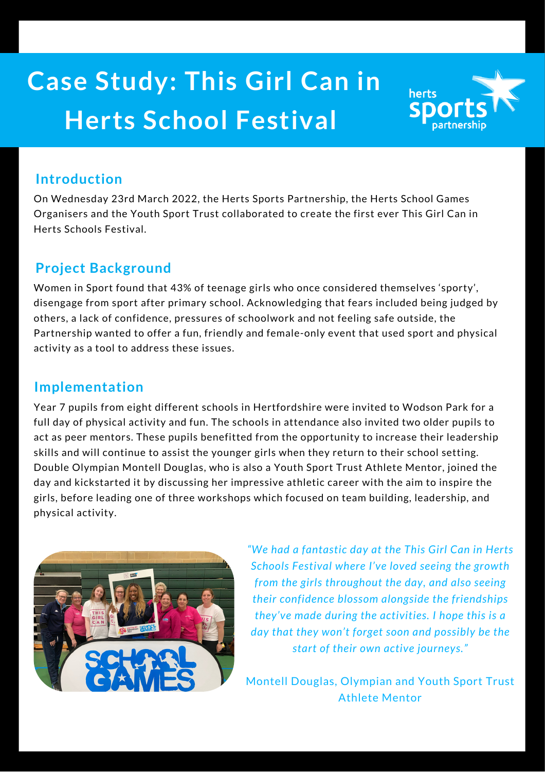# **Case Study: This Girl Can in Herts School Festival**



#### **Introduction**

On Wednesday 23rd March 2022, the Herts Sports Partnership, the Herts School Games Organisers and the Youth Sport Trust collaborated to create the first ever This Girl Can in Herts Schools Festival.

### **Project Background**

Women in Sport found that 43% of teenage girls who once considered themselves 'sporty', disengage from sport after primary school. Acknowledging that fears included being judged by others, a lack of confidence, pressures of schoolwork and not feeling safe outside, the Partnership wanted to offer a fun, friendly and female-only event that used sport and physical activity as a tool to address these issues.

#### **Implementation**

Year 7 pupils from eight different schools in Hertfordshire were invited to Wodson Park for a full day of physical activity and fun. The schools in attendance also invited two older pupils to act as peer mentors. These pupils benefitted from the opportunity to increase their leadership skills and will continue to assist the younger girls when they return to their school setting. Double Olympian Montell Douglas, who is also a Youth Sport Trust Athlete Mentor, joined the day and kickstarted it by discussing her impressive athletic career with the aim to inspire the girls, before leading one of three workshops which focused on team building, leadership, and physical activity.



*"We had a fantastic day at the This Girl Can in Herts Schools Festival where I've loved seeing the growth from the girls throughout the day, and also seeing their confidence blossom alongside the friendships they've made during the activities. I hope this is a day that they won't forget soon and possibly be the start of their own active journeys."*

Montell Douglas, Olympian and Youth Sport Trust Athlete Mentor